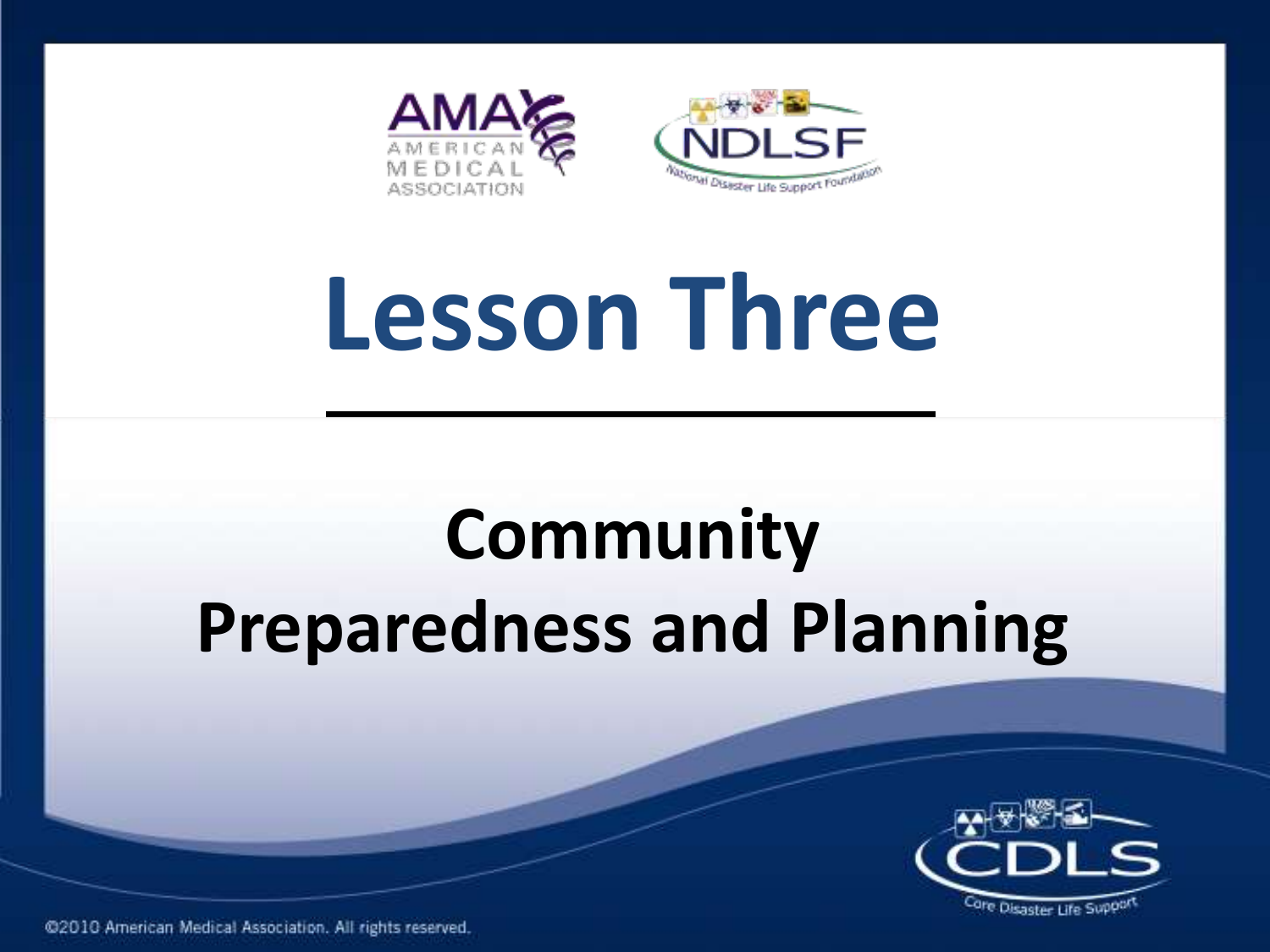

# **Lesson Three**

### **Community Preparedness and Planning**

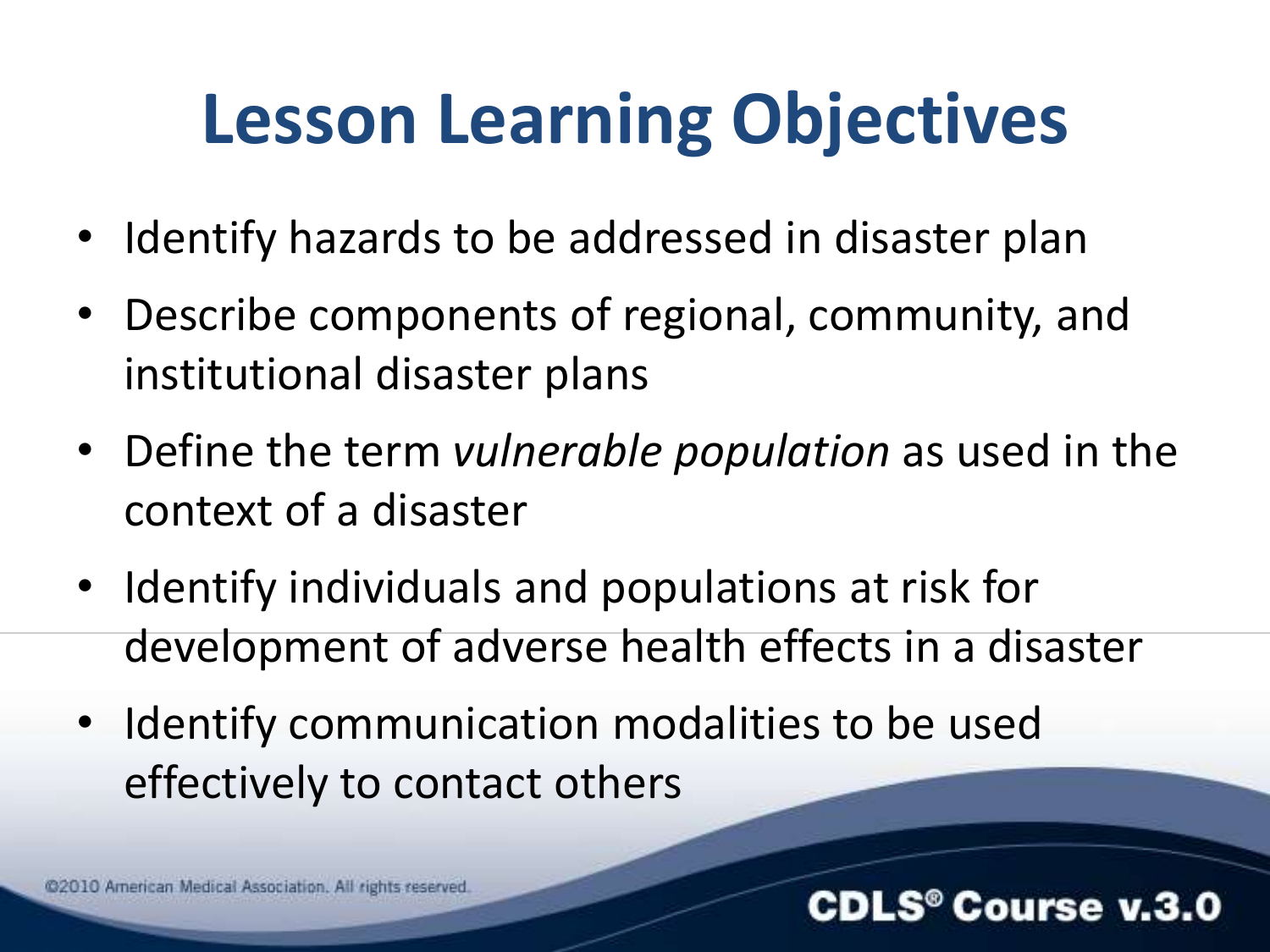### **Lesson Learning Objectives**

- Identify hazards to be addressed in disaster plan
- Describe components of regional, community, and institutional disaster plans
- Define the term *vulnerable population* as used in the context of a disaster
- Identify individuals and populations at risk for development of adverse health effects in a disaster
- Identify communication modalities to be used effectively to contact others

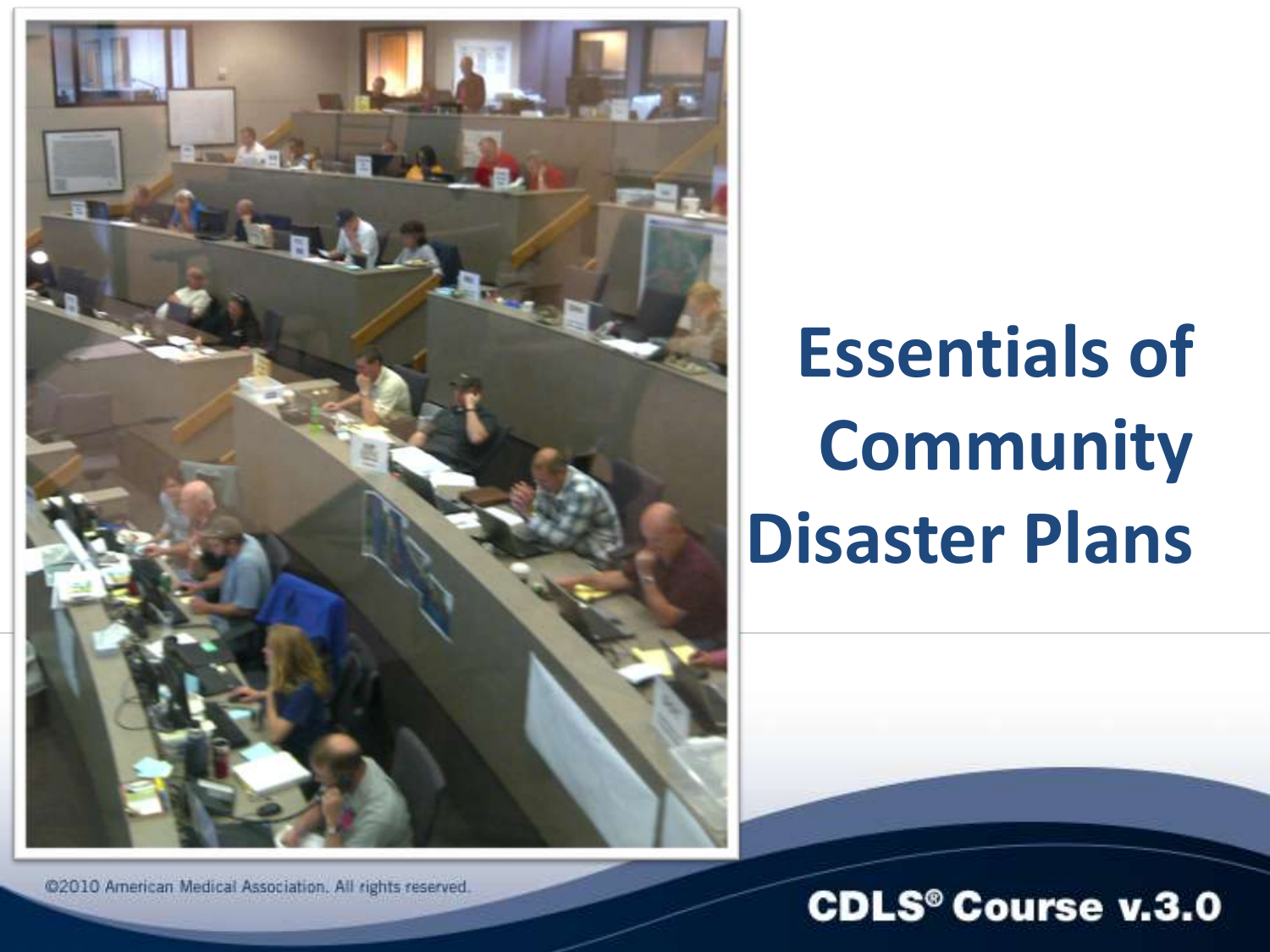

### **Essentials of Community Disaster Plans**

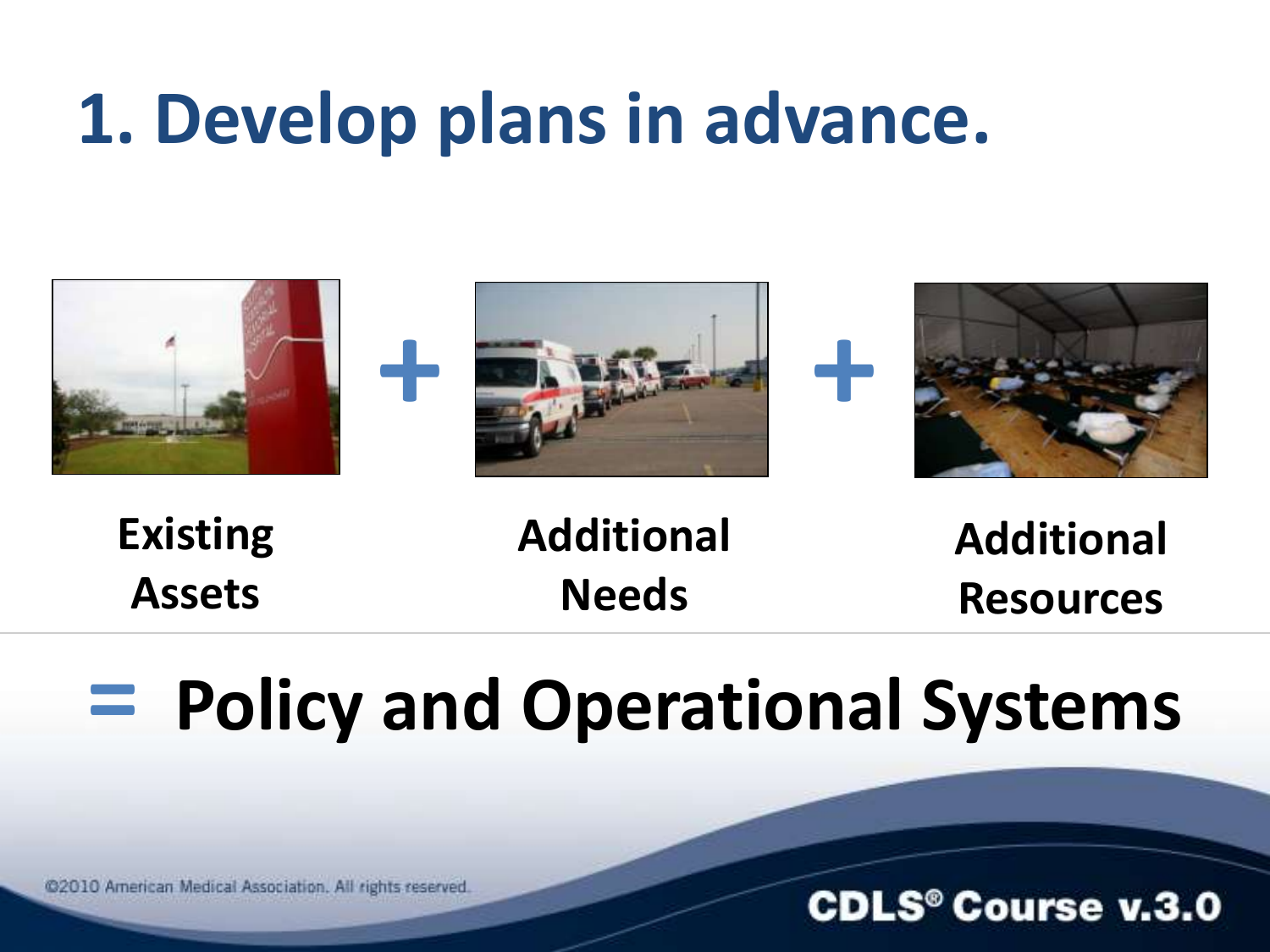### **1. Develop plans in advance.**



**Existing Assets**

**Additional Needs**

**Additional Resources**

**CDLS<sup>®</sup> Course v.3.0** 

### **= Policy and Operational Systems**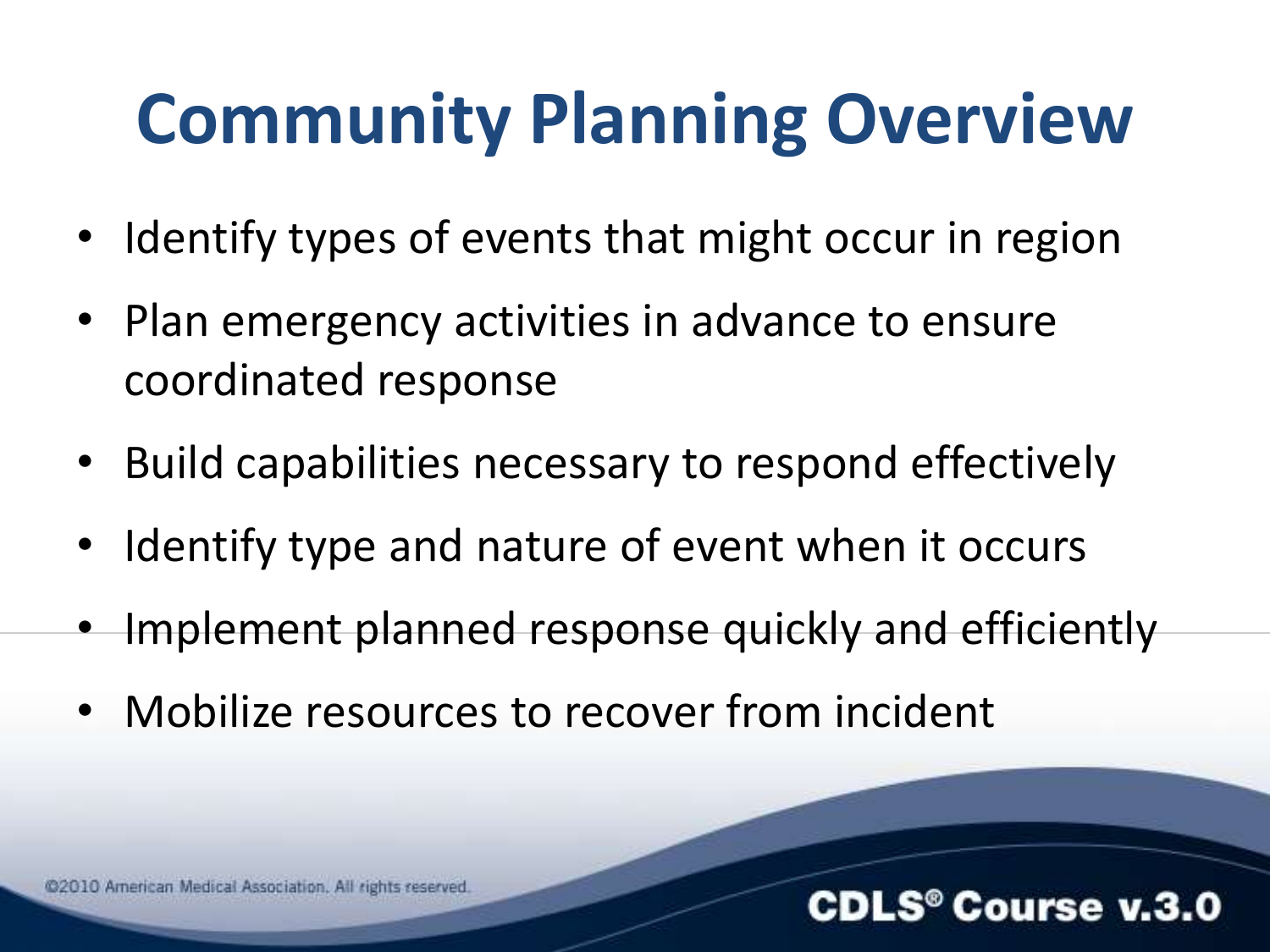### **Community Planning Overview**

- Identify types of events that might occur in region
- Plan emergency activities in advance to ensure coordinated response
- Build capabilities necessary to respond effectively
- Identify type and nature of event when it occurs
- Implement planned response quickly and efficiently

**CDLS<sup>®</sup> Course v.3.0** 

• Mobilize resources to recover from incident

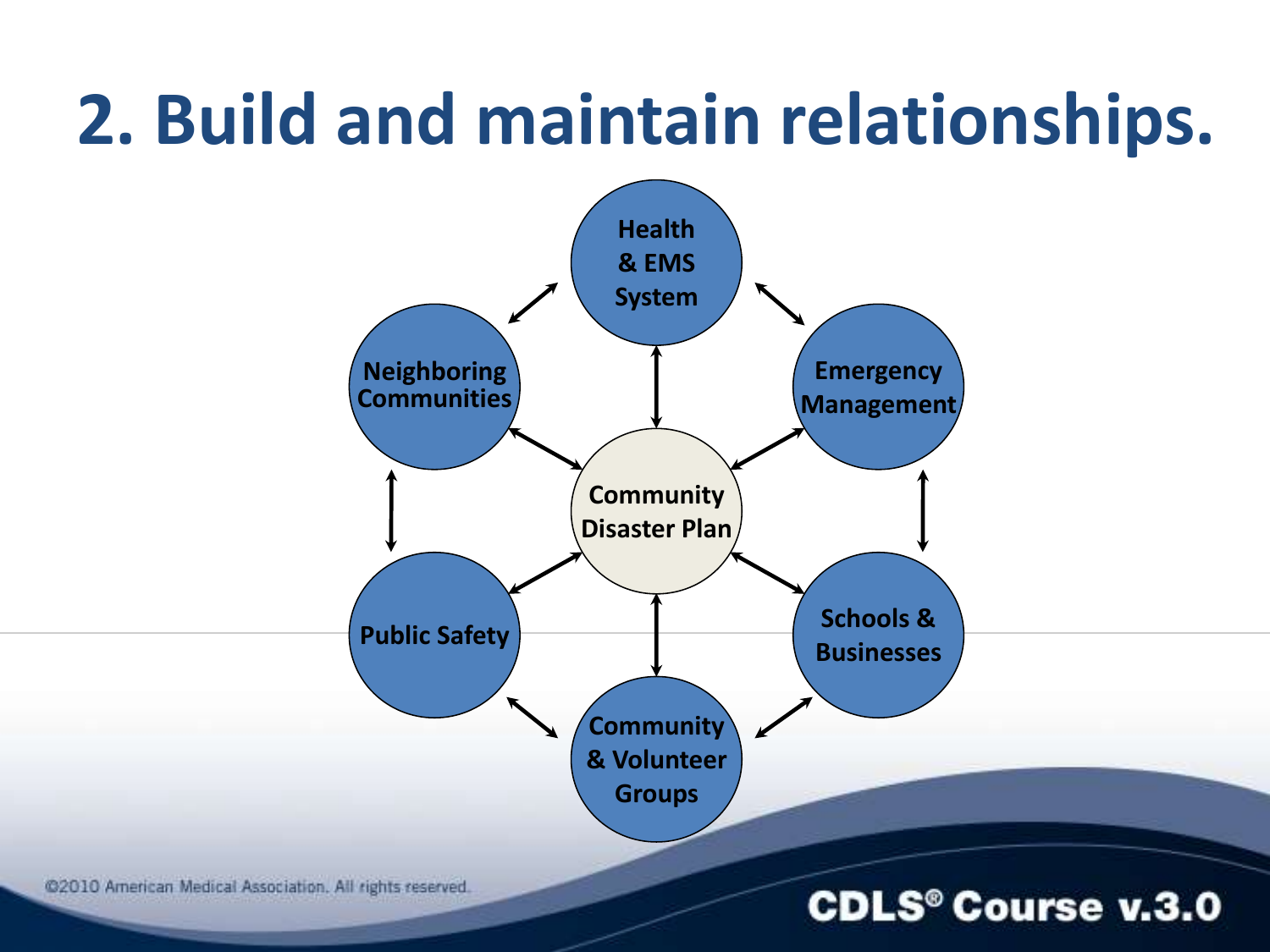### **2. Build and maintain relationships.**



@2010 American Medical Association. All rights reserved.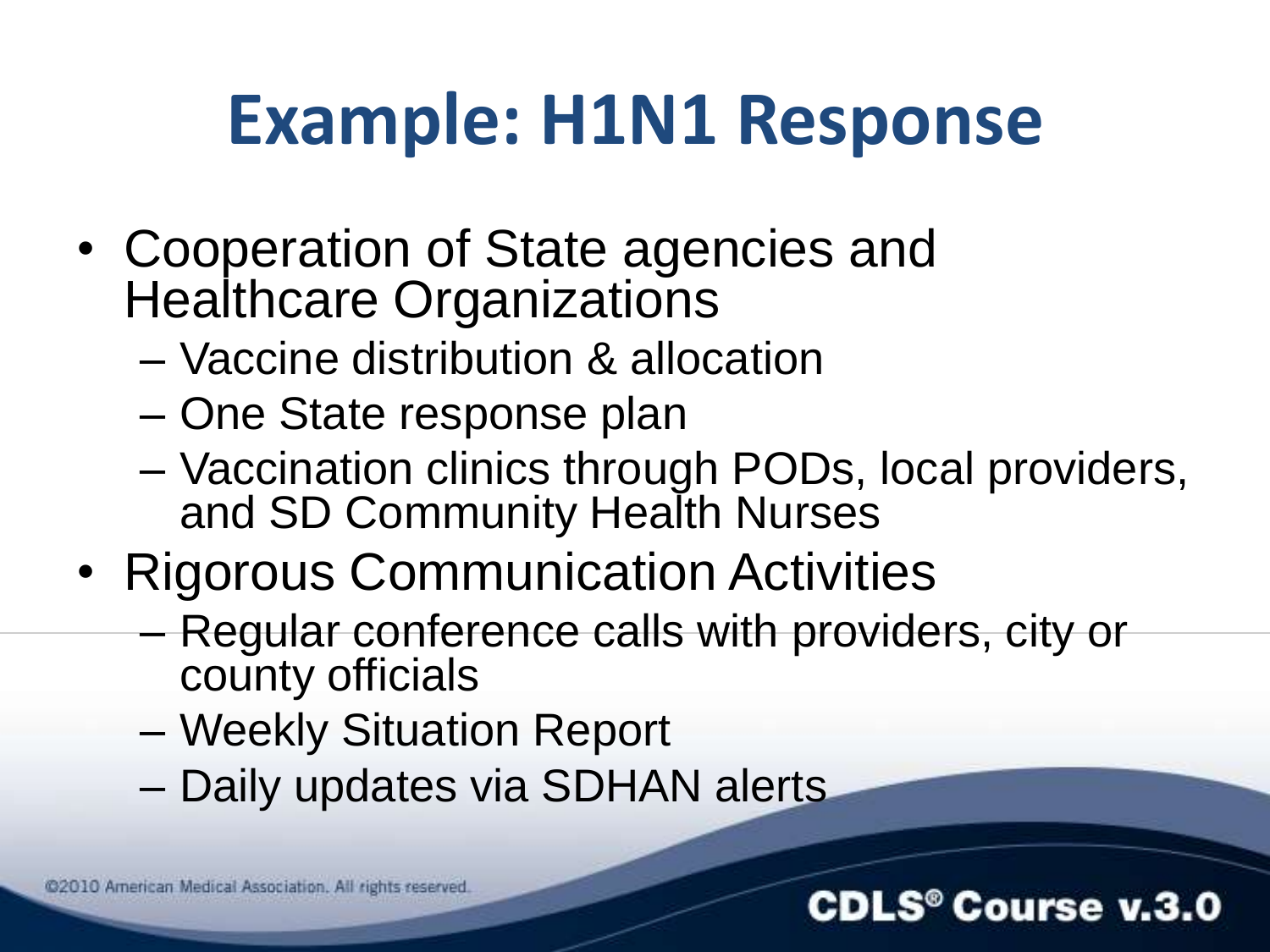### **Example: H1N1 Response**

- Cooperation of State agencies and Healthcare Organizations
	- Vaccine distribution & allocation
	- One State response plan
	- Vaccination clinics through PODs, local providers, and SD Community Health Nurses
- Rigorous Communication Activities
	- Regular conference calls with providers, city or county officials
	- Weekly Situation Report
	- Daily updates via SDHAN alerts



#### **CDLS® Course v.3.0**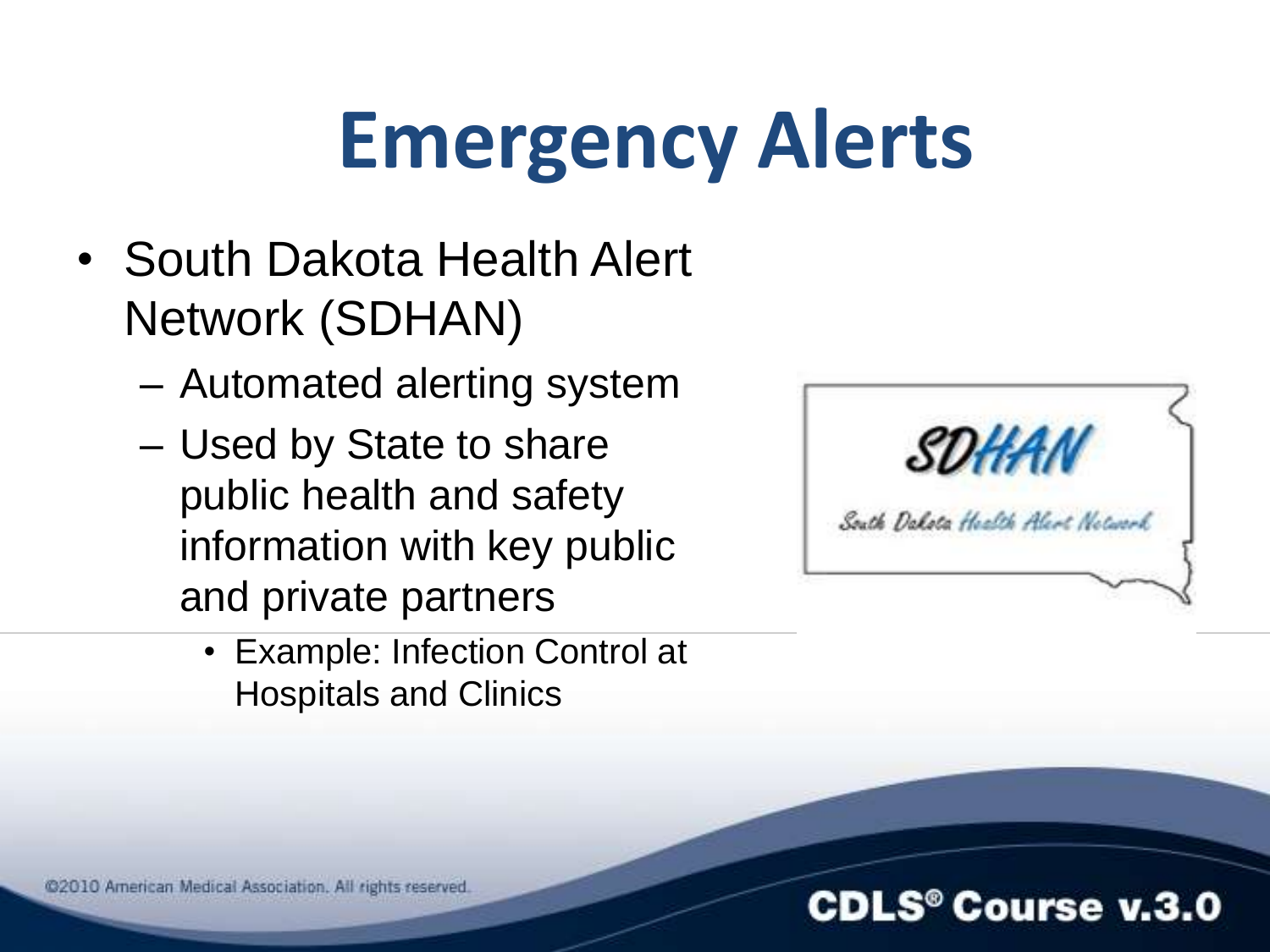## **Emergency Alerts**

- South Dakota Health Alert Network (SDHAN)
	- Automated alerting system
	- Used by State to share public health and safety information with key public and private partners
		- Example: Infection Control at Hospitals and Clinics



**CDLS<sup>®</sup> Course v.3.0**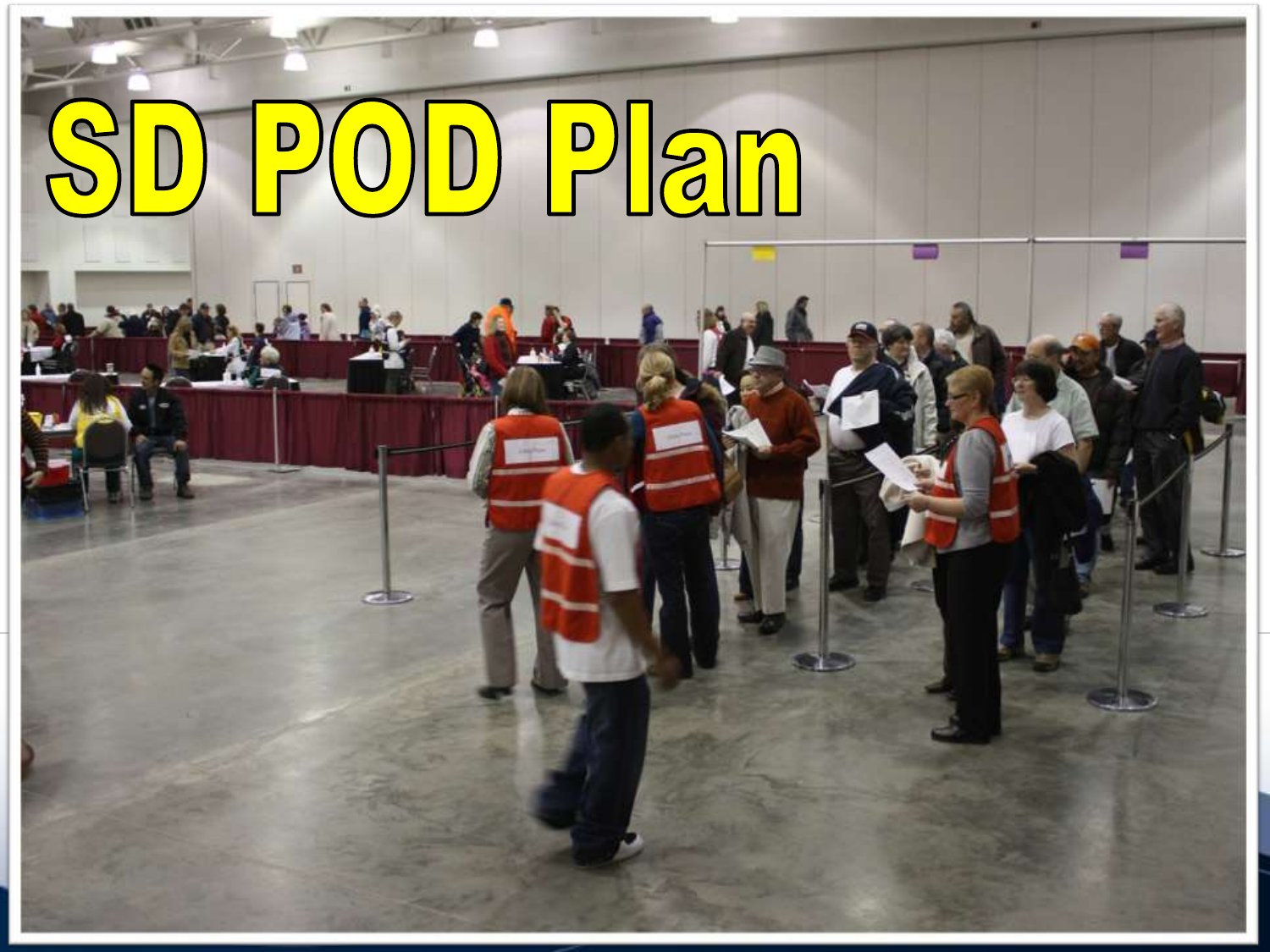# SD POD Plan



Crowd which for the two lines at the two lines at the two lines at the two lines at the two lines at the two lines

morning for their smallpox inoculations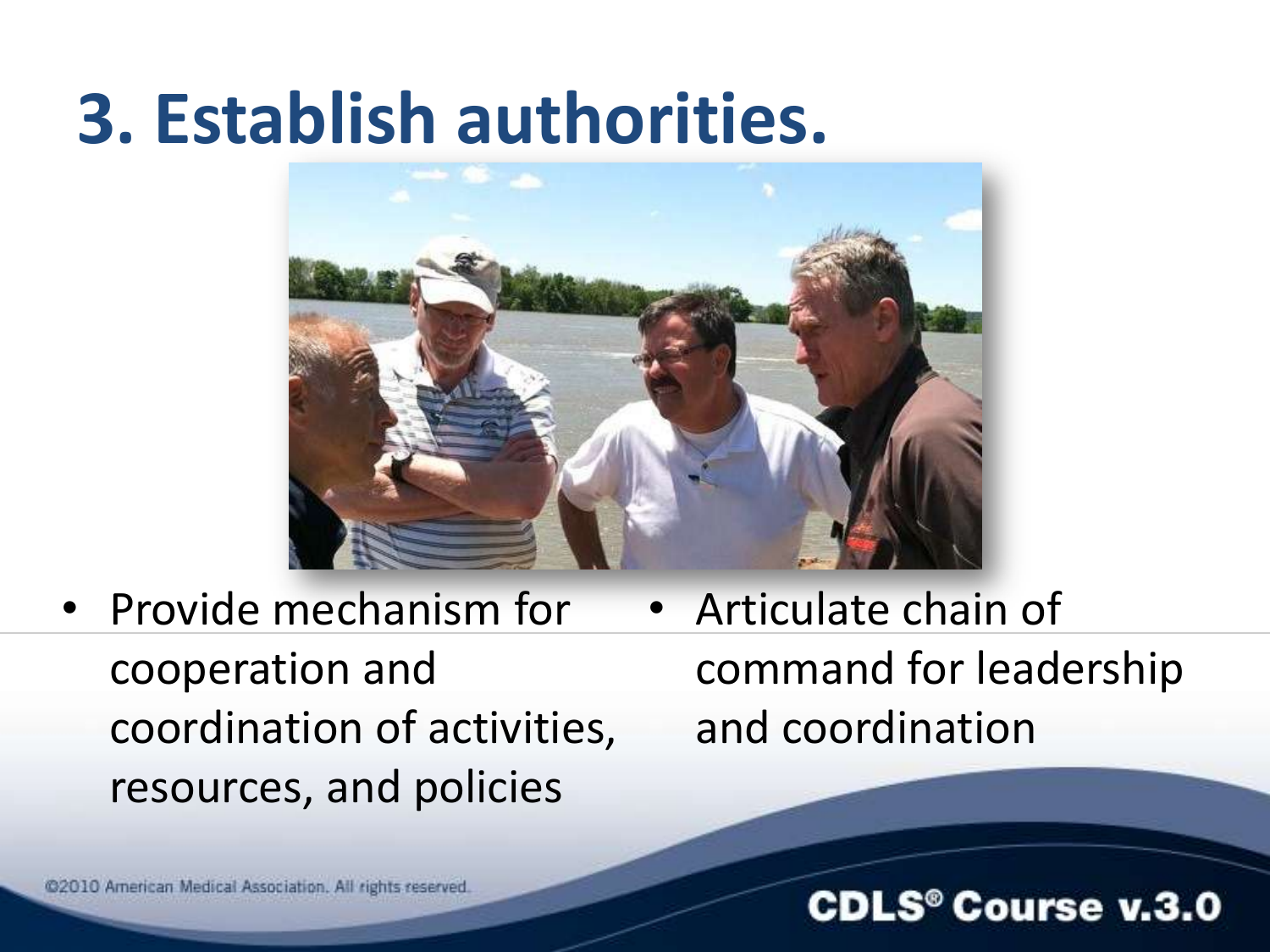### **3. Establish authorities.**



- Provide mechanism for cooperation and coordination of activities, resources, and policies
- Articulate chain of command for leadership and coordination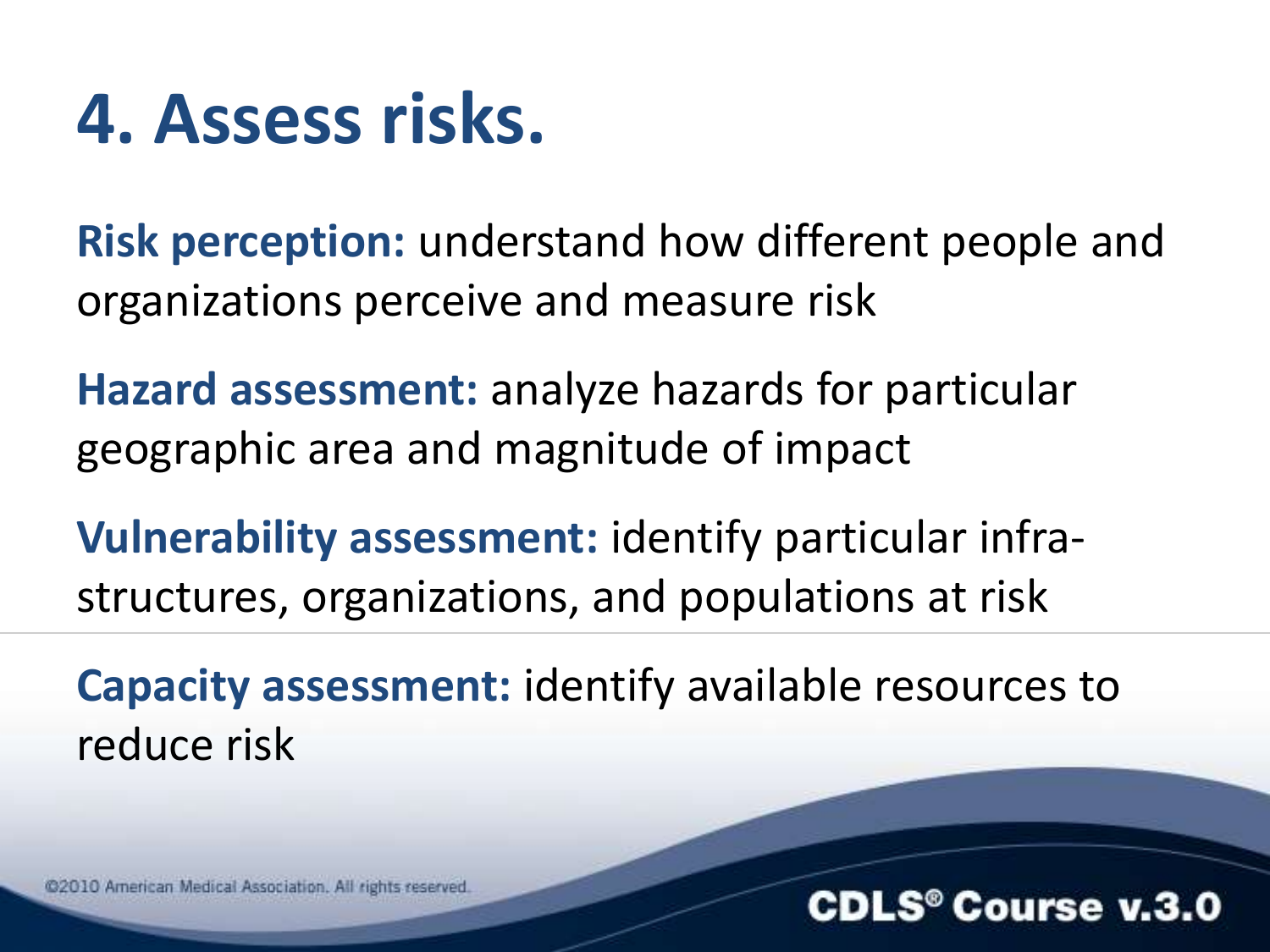### **4. Assess risks.**

**Risk perception:** understand how different people and organizations perceive and measure risk

**Hazard assessment:** analyze hazards for particular geographic area and magnitude of impact

**Vulnerability assessment:** identify particular infrastructures, organizations, and populations at risk

**Capacity assessment:** identify available resources to reduce risk

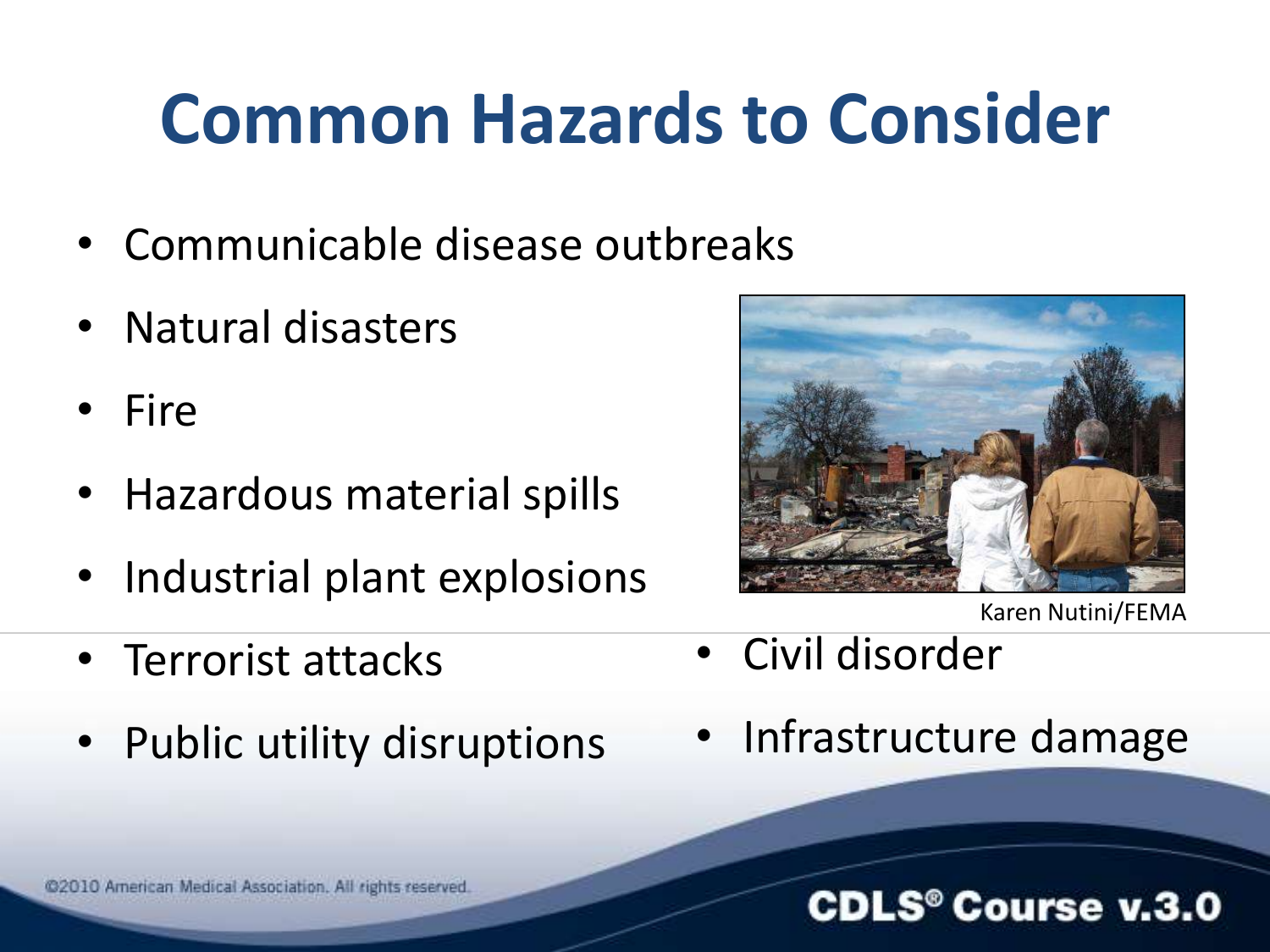### **Common Hazards to Consider**

- Communicable disease outbreaks
- Natural disasters
- Fire
- Hazardous material spills
- Industrial plant explosions
- Terrorist attacks
- Public utility disruptions



Karen Nutini/FEMA

- Civil disorder
- Infrastructure damage

#### **CDLS<sup>®</sup> Course v.3.0**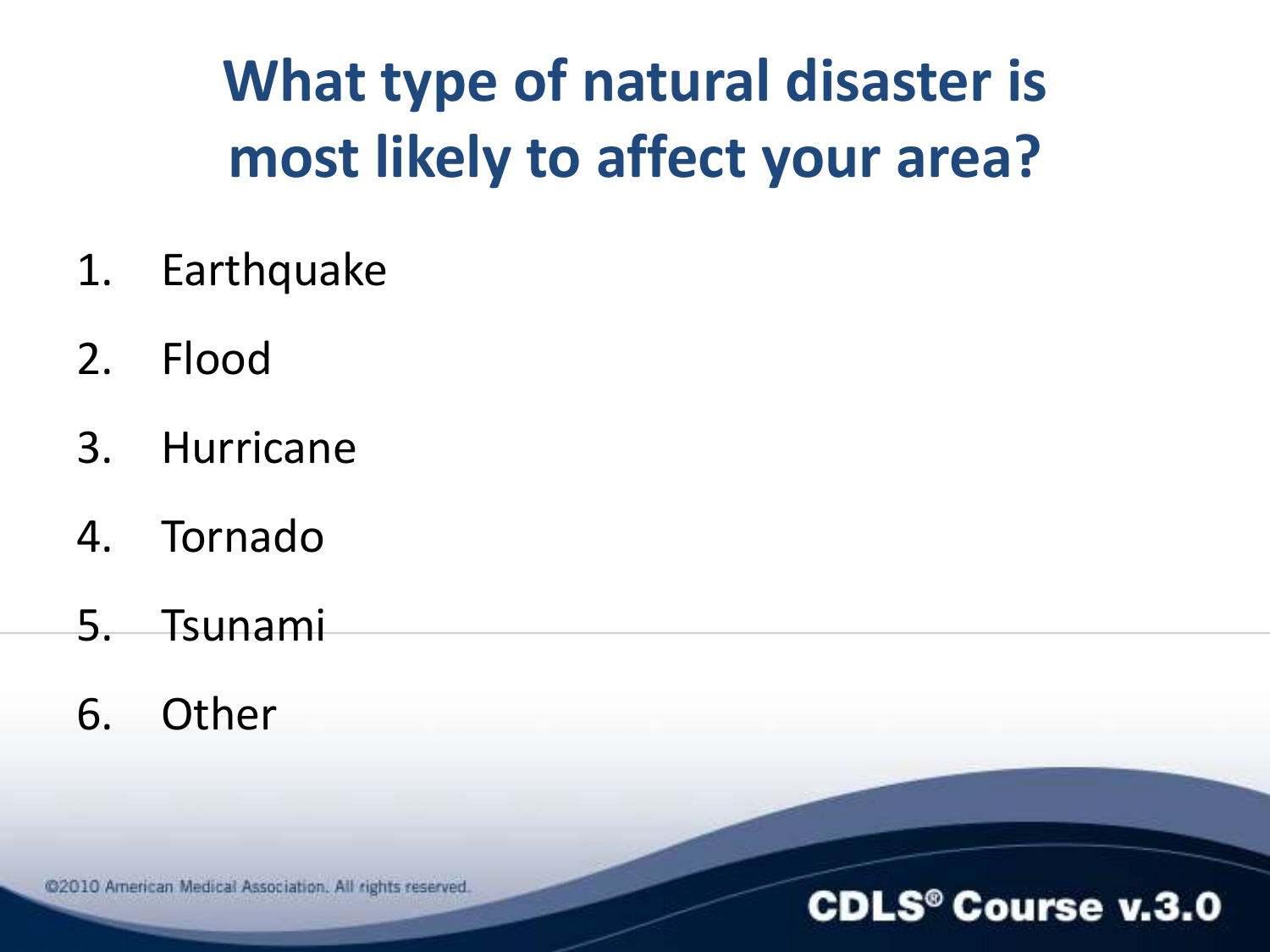### **What type of natural disaster is most likely to affect your area?**

- 1. Earthquake
- 2. Flood
- 3. Hurricane
- 4. Tornado
- 5. Tsunami
- 6. Other

@2010 American Medical Association. All rights reserved.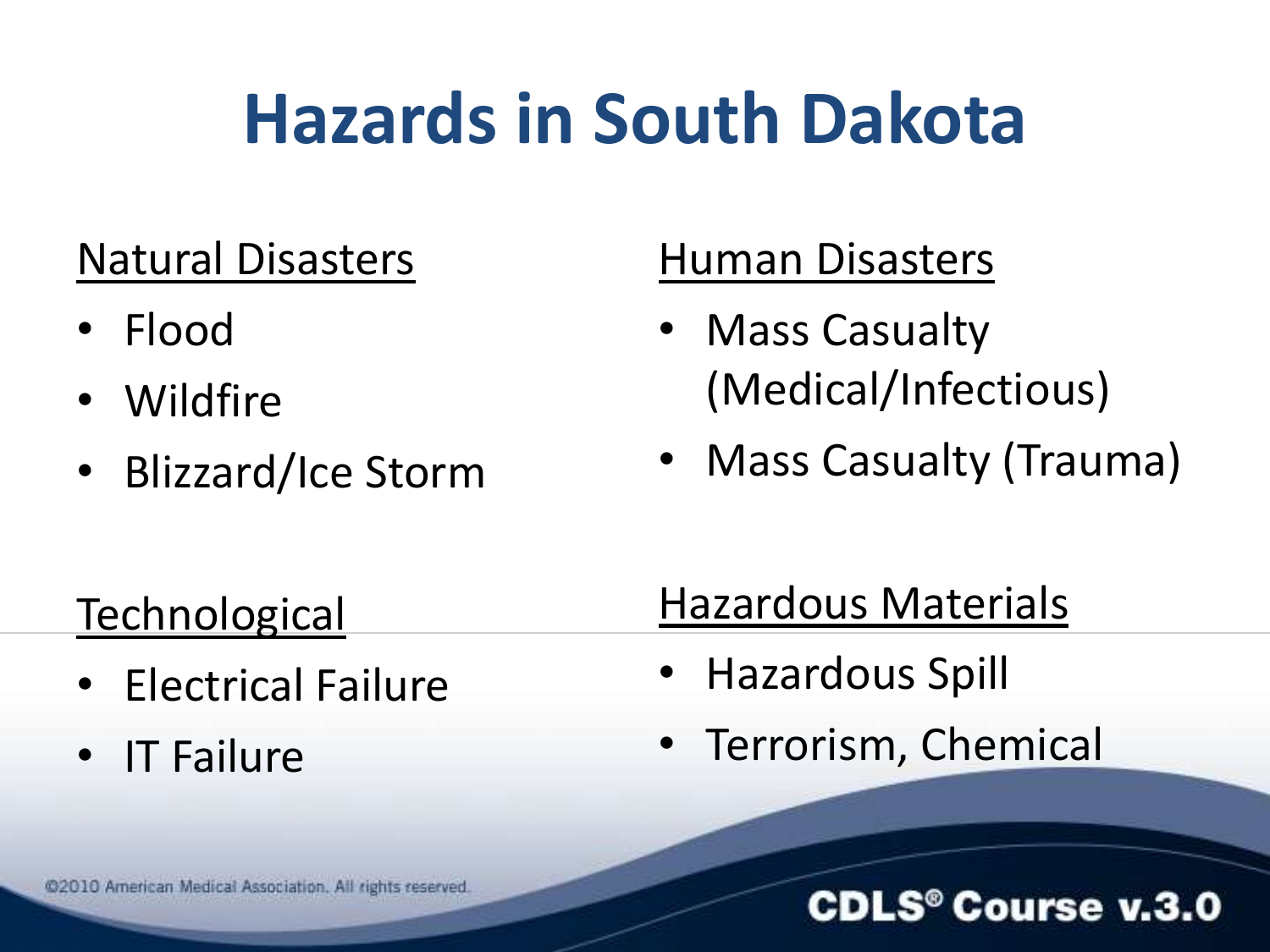### **Hazards in South Dakota**

### Natural Disasters

- Flood
- Wildfire
- Blizzard/Ice Storm

### Human Disasters

- Mass Casualty (Medical/Infectious)
- Mass Casualty (Trauma)

#### **Technological**

- Electrical Failure
- IT Failure

### Hazardous Materials

- Hazardous Spill
- Terrorism, Chemical

#### **CDLS<sup>®</sup> Course v.3.0**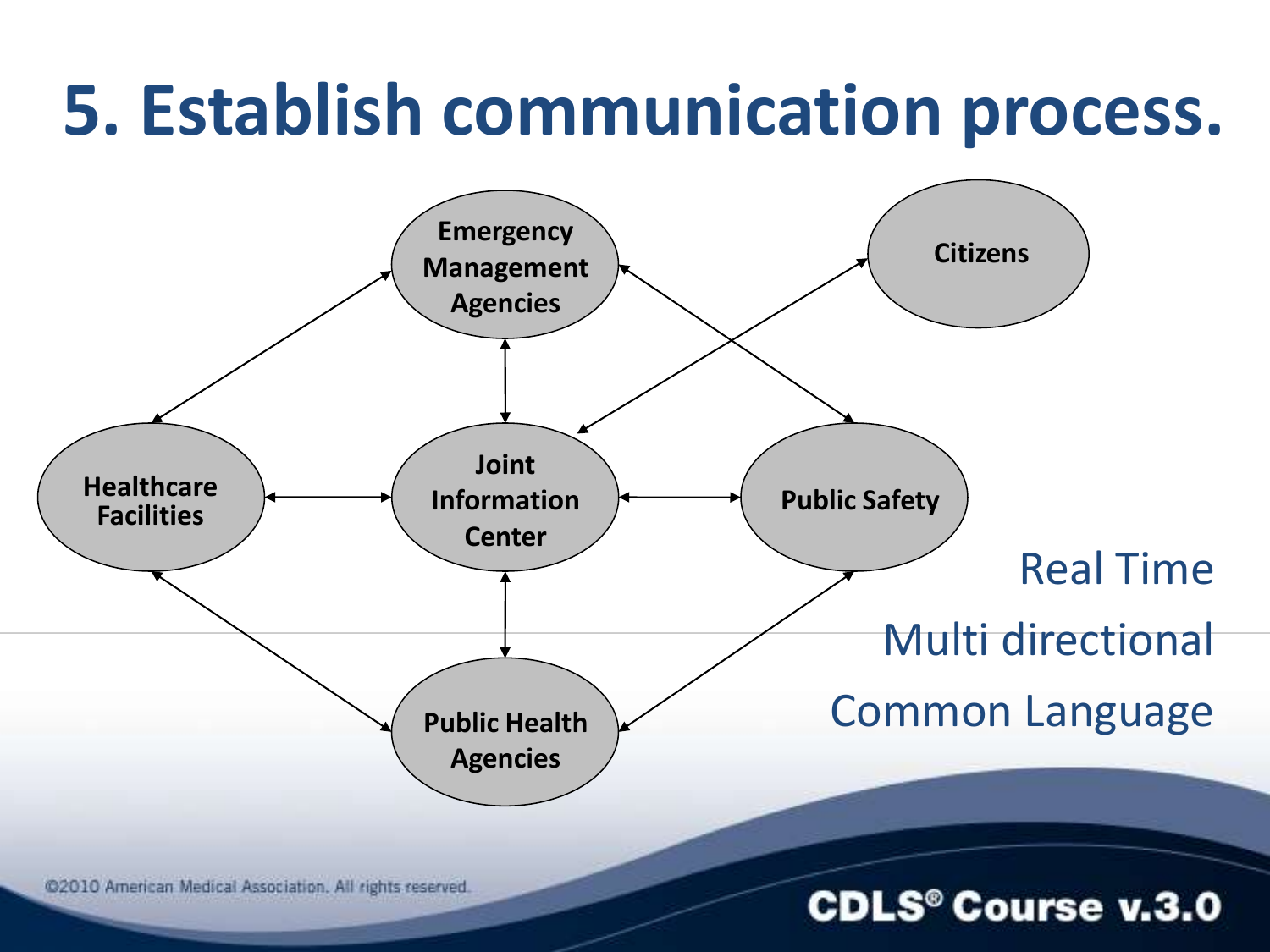### **5. Establish communication process.**

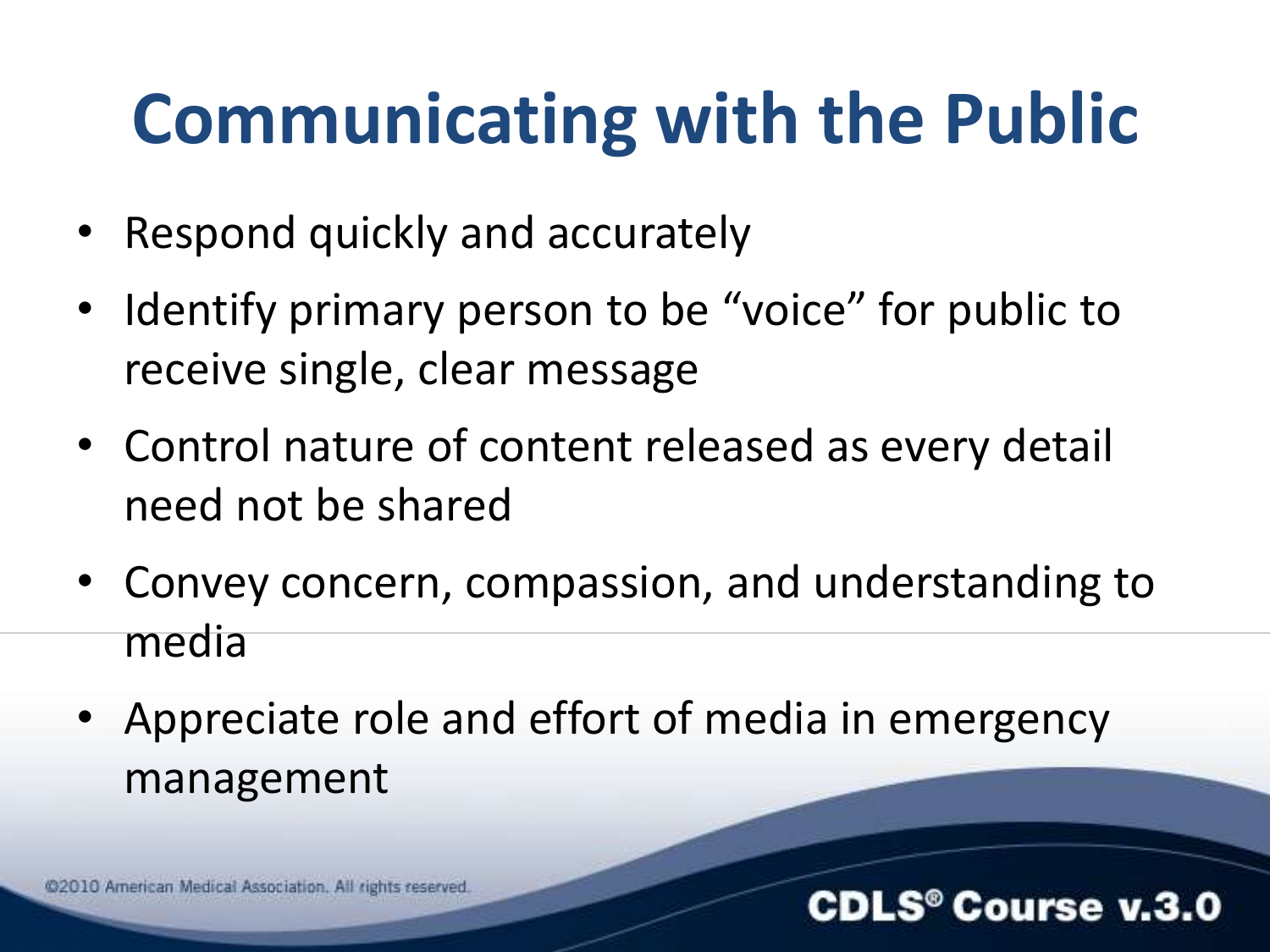### **Communicating with the Public**

- Respond quickly and accurately
- Identify primary person to be "voice" for public to receive single, clear message
- Control nature of content released as every detail need not be shared
- Convey concern, compassion, and understanding to media
- Appreciate role and effort of media in emergency management

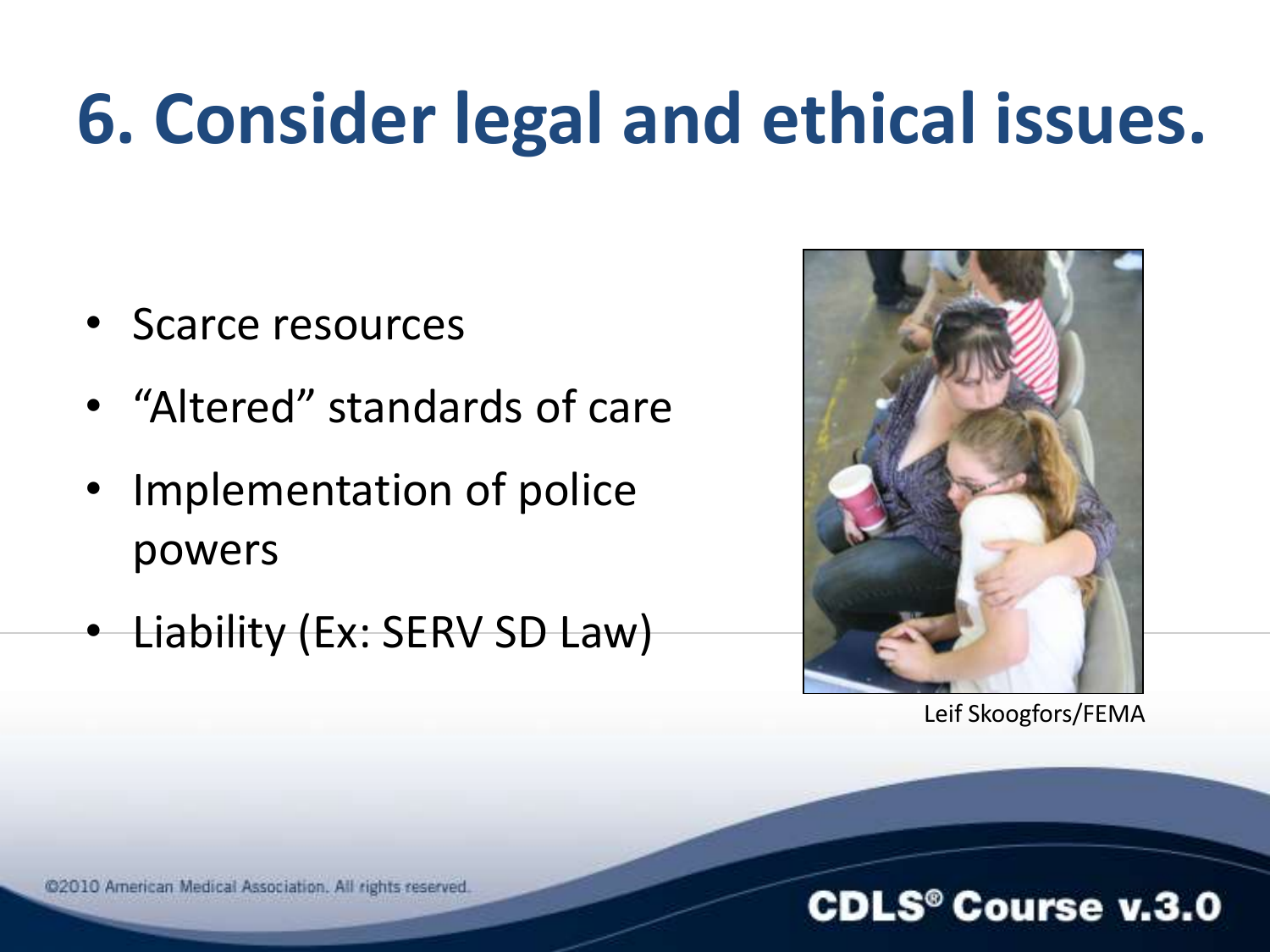### **6. Consider legal and ethical issues.**

- Scarce resources
- "Altered" standards of care
- Implementation of police powers
- Liability (Ex: SERV SD Law)



Leif Skoogfors/FEMA

#### @2010 American Medical Association. All rights reserved.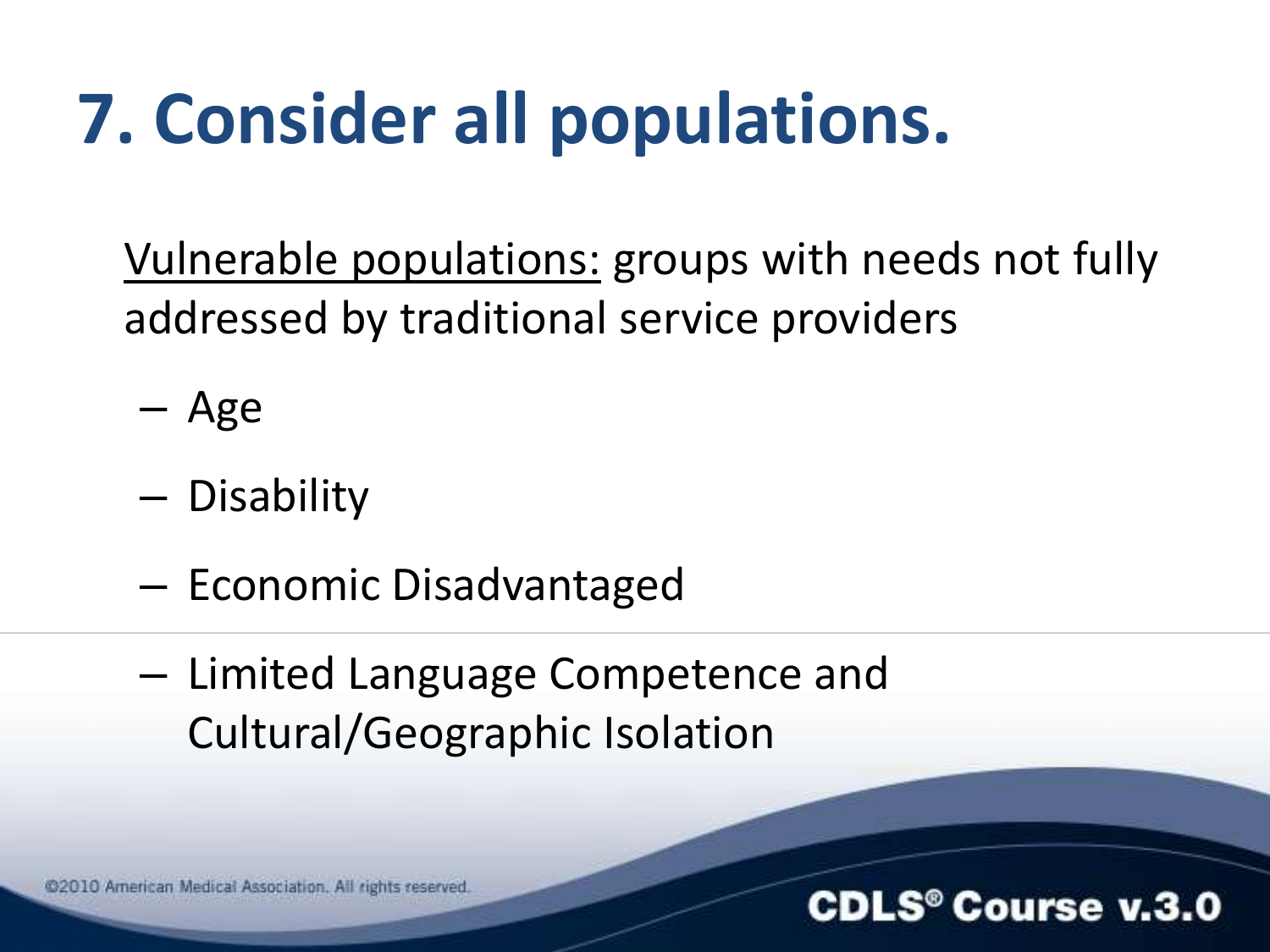### **7. Consider all populations.**

Vulnerable populations: groups with needs not fully addressed by traditional service providers

- Age
- Disability
- Economic Disadvantaged
- Limited Language Competence and Cultural/Geographic Isolation

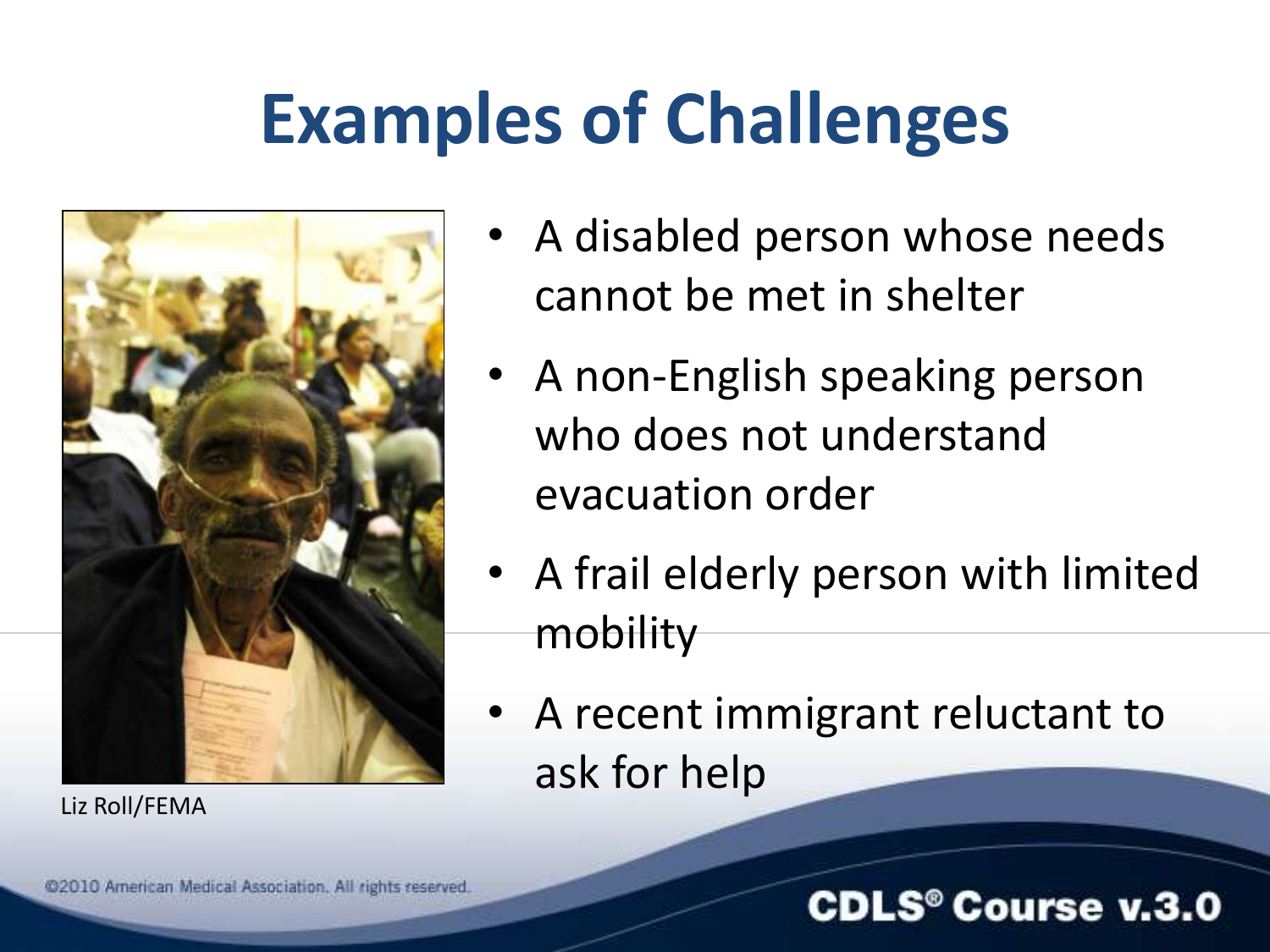### **Examples of Challenges**



Liz Roll/FEMA

- A disabled person whose needs cannot be met in shelter
- A non-English speaking person who does not understand evacuation order
- A frail elderly person with limited mobility
- A recent immigrant reluctant to ask for help

#### **CDLS<sup>®</sup> Course v.3.0**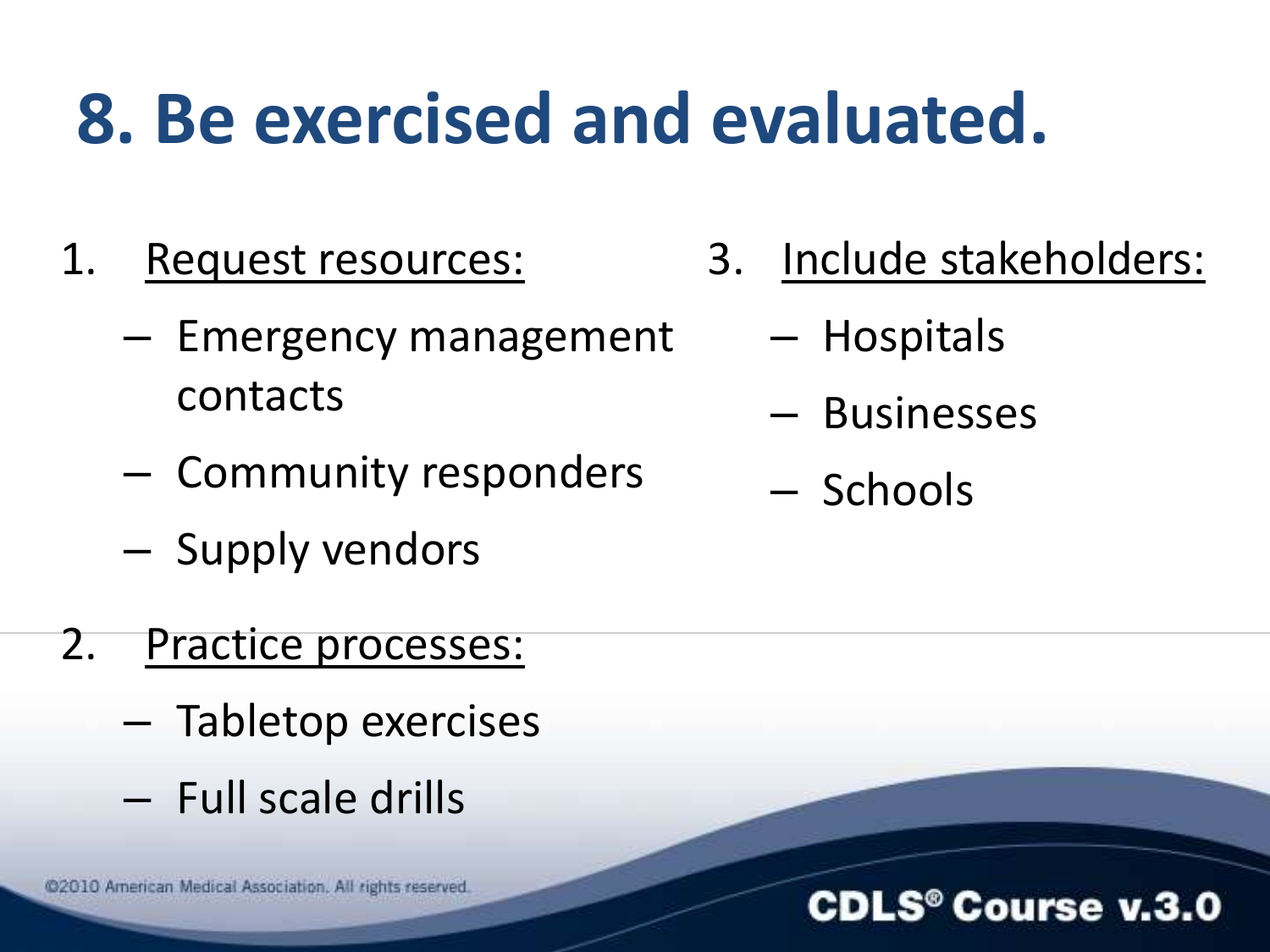### **8. Be exercised and evaluated.**

- 1. Request resources:
	- Emergency management contacts
	- Community responders
	- Supply vendors
- 2. Practice processes:
	- Tabletop exercises
	- Full scale drills

@2010 American Medical Association. All rights reserved.

- 3. Include stakeholders:
	- Hospitals
	- Businesses
	- Schools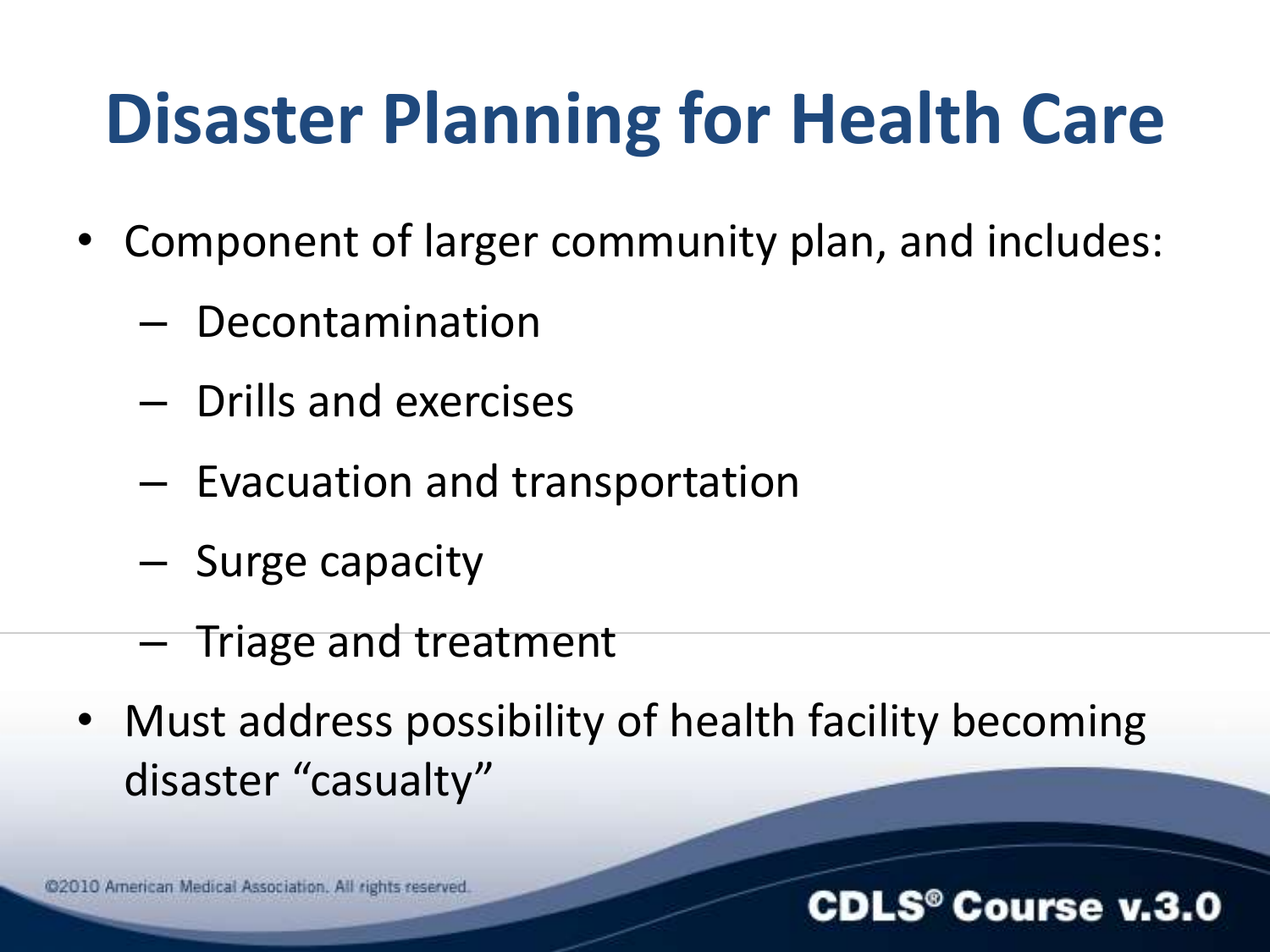### **Disaster Planning for Health Care**

- Component of larger community plan, and includes:
	- Decontamination
	- Drills and exercises
	- Evacuation and transportation
	- Surge capacity
	- Triage and treatment
- Must address possibility of health facility becoming disaster "casualty"

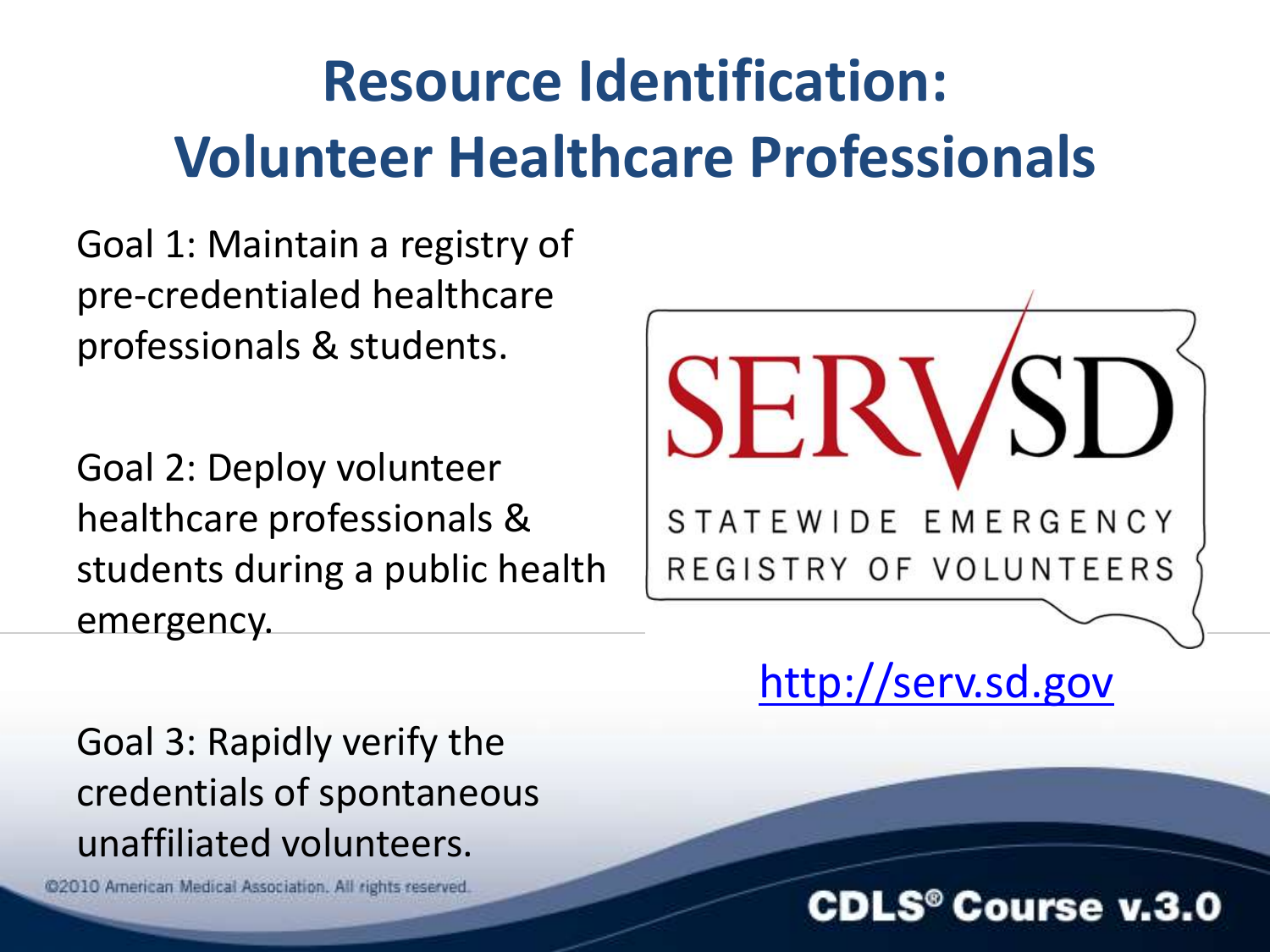### **Resource Identification: Volunteer Healthcare Professionals**

Goal 1: Maintain a registry of pre-credentialed healthcare professionals & students.

Goal 2: Deploy volunteer healthcare professionals & students during a public health emergency.

SEI STATEWIDE EMERGENCY REGISTRY OF VOLUNTEERS

[http://serv.sd.gov](http://serv.sd.gov/)

Goal 3: Rapidly verify the credentials of spontaneous unaffiliated volunteers.

@2010 American Medical Association. All rights reserved.

#### **CDLS® Course v.3.0**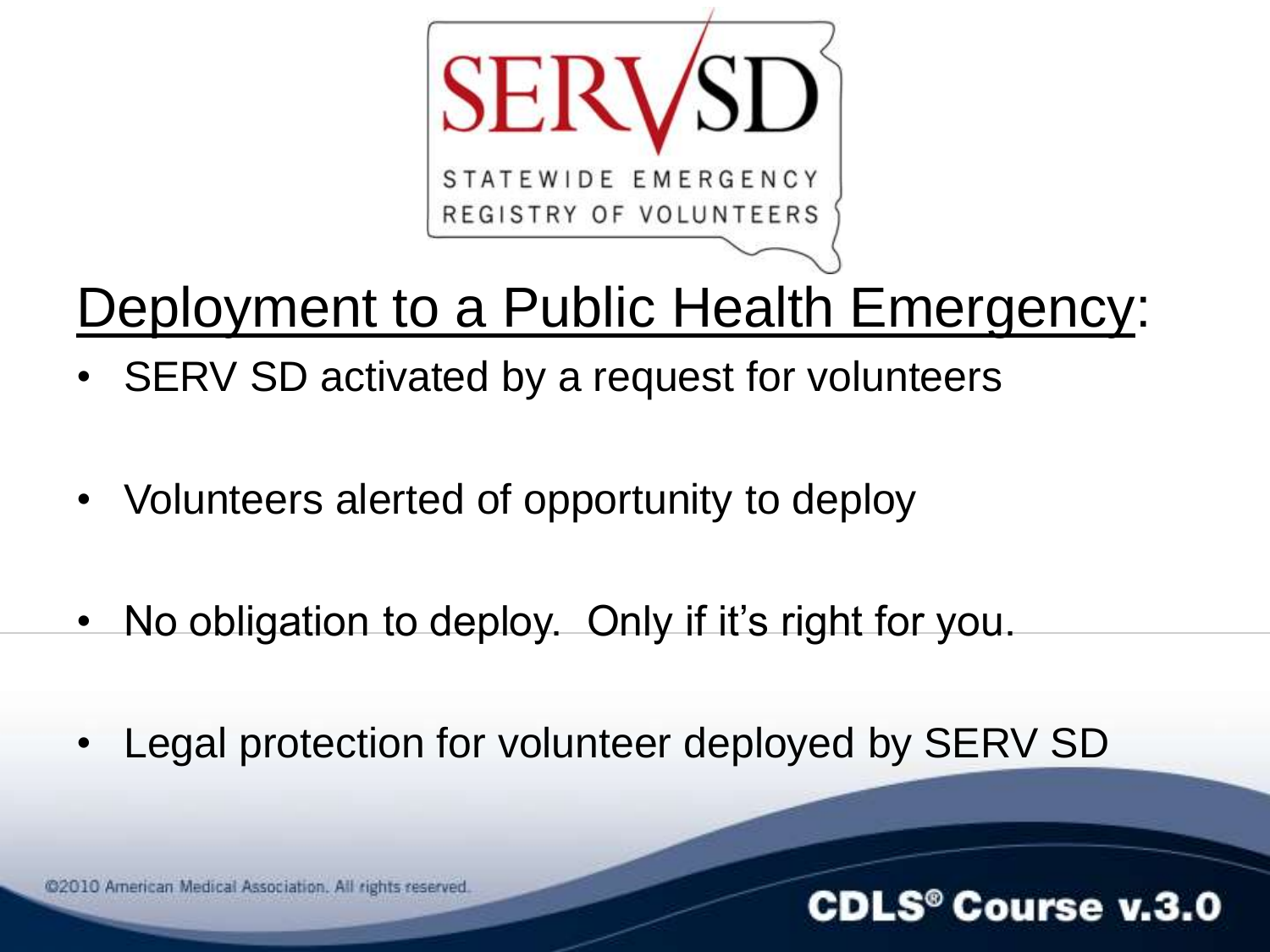

### Deployment to a Public Health Emergency:

- SERV SD activated by a request for volunteers
- Volunteers alerted of opportunity to deploy
- No obligation to deploy. Only if it's right for you.
- Legal protection for volunteer deployed by SERV SD

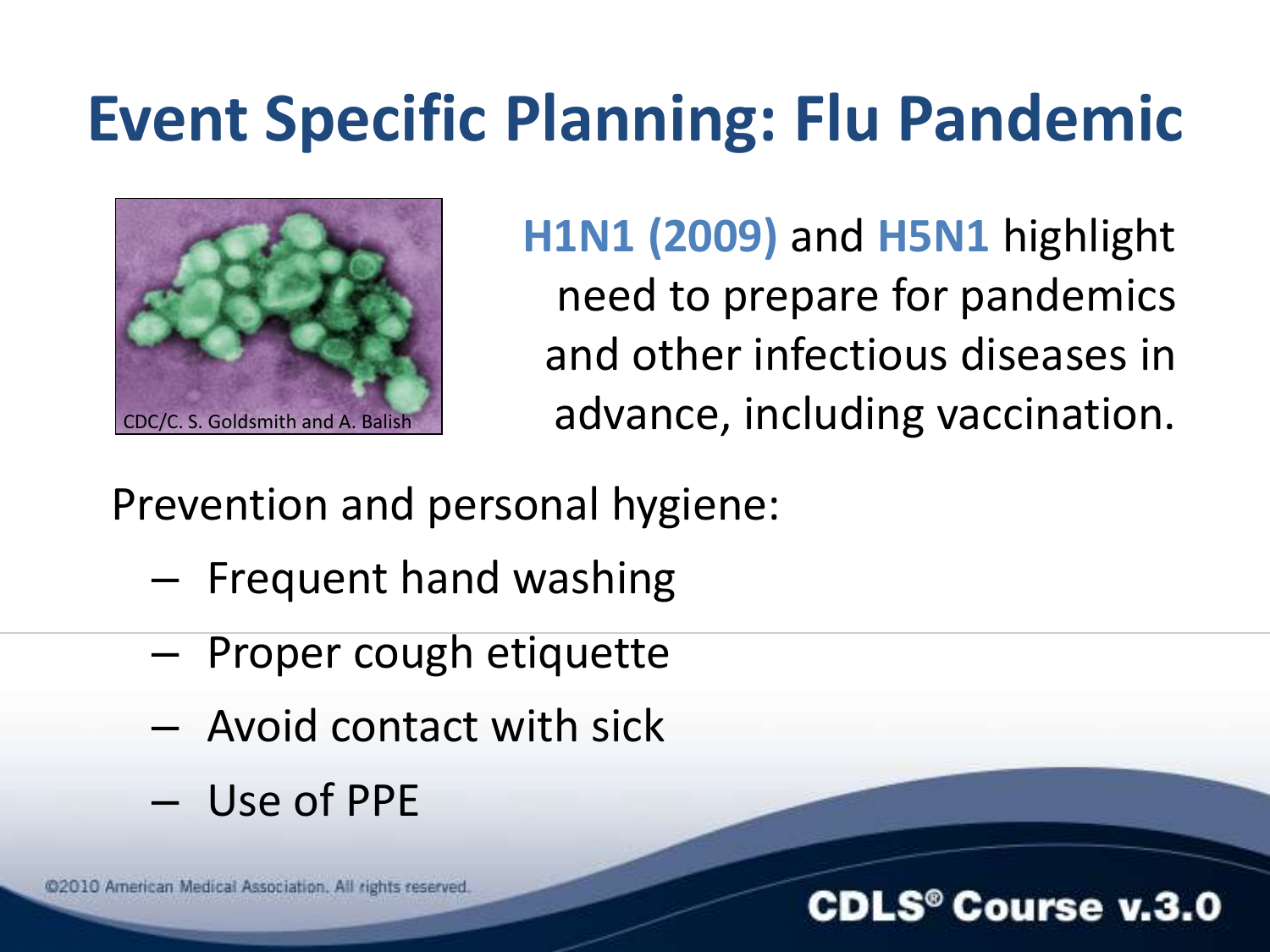### **Event Specific Planning: Flu Pandemic**



**H1N1 (2009)** and **H5N1** highlight need to prepare for pandemics and other infectious diseases in CDC/C. S. Goldsmith and A. Balish **and A. Balish and A. Balish and A. Balish and A. Balish** and  $\alpha$ 

Prevention and personal hygiene:

- Frequent hand washing
- Proper cough etiquette
- Avoid contact with sick
- Use of PPE

@2010 American Medical Association. All rights reserved.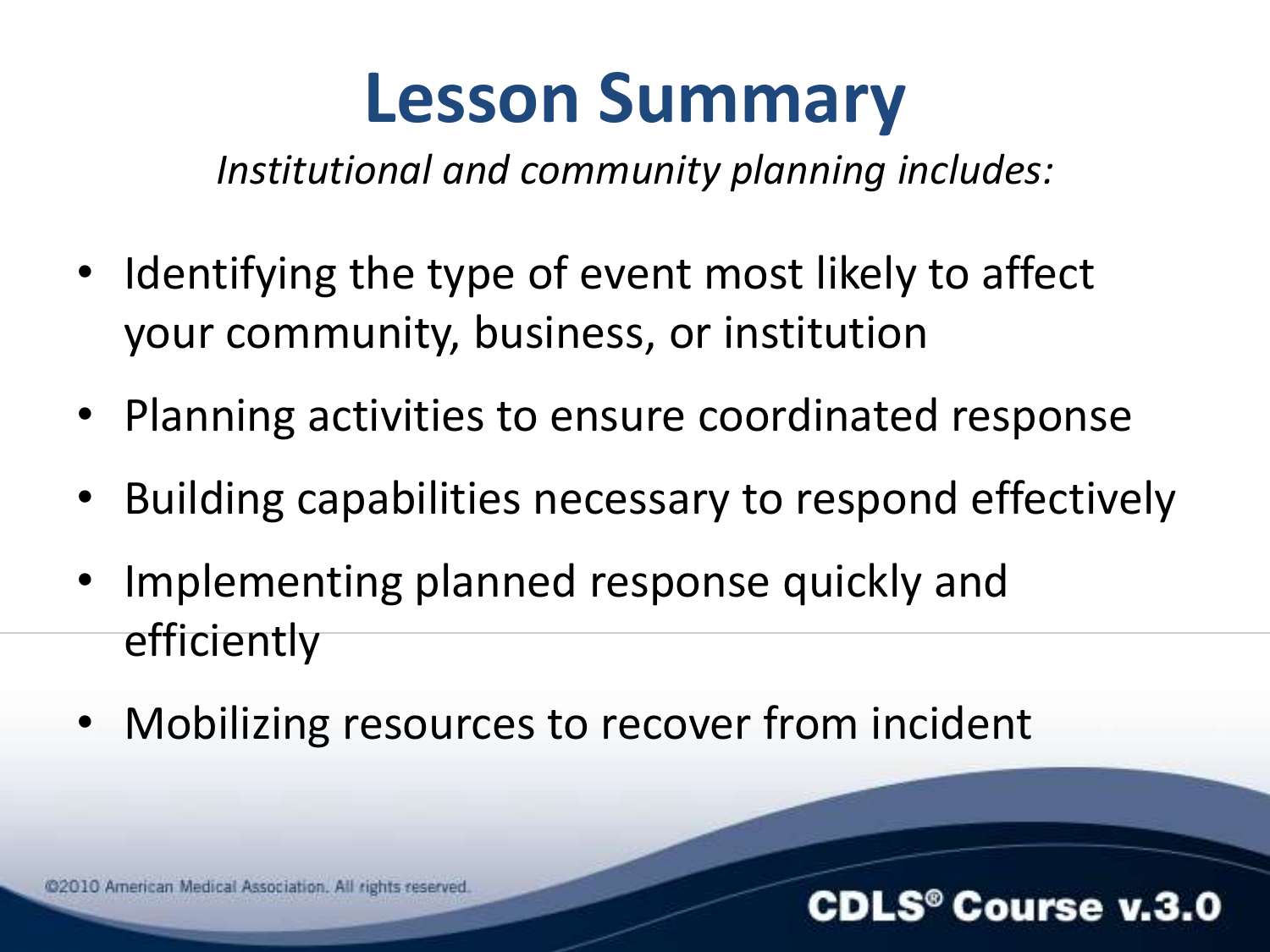### **Lesson Summary**

*Institutional and community planning includes:*

- Identifying the type of event most likely to affect your community, business, or institution
- Planning activities to ensure coordinated response
- Building capabilities necessary to respond effectively
- Implementing planned response quickly and efficiently
- Mobilizing resources to recover from incident